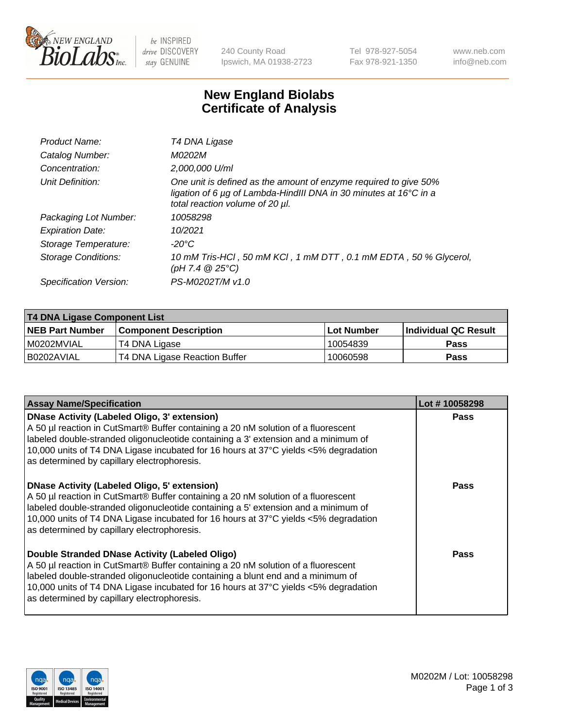

be INSPIRED drive DISCOVERY stay GENUINE

240 County Road Ipswich, MA 01938-2723 Tel 978-927-5054 Fax 978-921-1350 www.neb.com info@neb.com

## **New England Biolabs Certificate of Analysis**

| T4 DNA Ligase                                                                                                                                                            |
|--------------------------------------------------------------------------------------------------------------------------------------------------------------------------|
| M0202M                                                                                                                                                                   |
| 2,000,000 U/ml                                                                                                                                                           |
| One unit is defined as the amount of enzyme required to give 50%<br>ligation of 6 µg of Lambda-HindIII DNA in 30 minutes at 16°C in a<br>total reaction volume of 20 µl. |
| 10058298                                                                                                                                                                 |
| 10/2021                                                                                                                                                                  |
| $-20^{\circ}$ C                                                                                                                                                          |
| 10 mM Tris-HCl, 50 mM KCl, 1 mM DTT, 0.1 mM EDTA, 50 % Glycerol,<br>(pH 7.4 $@25°C$ )                                                                                    |
| PS-M0202T/M v1.0                                                                                                                                                         |
|                                                                                                                                                                          |

| <b>T4 DNA Ligase Component List</b> |                               |            |                             |  |  |
|-------------------------------------|-------------------------------|------------|-----------------------------|--|--|
| <b>NEB Part Number</b>              | <b>Component Description</b>  | Lot Number | <b>Individual QC Result</b> |  |  |
| I M0202MVIAL                        | T4 DNA Ligase                 | 10054839   | <b>Pass</b>                 |  |  |
| I B0202AVIAL                        | T4 DNA Ligase Reaction Buffer | 10060598   | <b>Pass</b>                 |  |  |

| <b>Assay Name/Specification</b>                                                                                                                                                                                                                                                                                                                                      | Lot #10058298 |
|----------------------------------------------------------------------------------------------------------------------------------------------------------------------------------------------------------------------------------------------------------------------------------------------------------------------------------------------------------------------|---------------|
| <b>DNase Activity (Labeled Oligo, 3' extension)</b><br>A 50 µl reaction in CutSmart® Buffer containing a 20 nM solution of a fluorescent<br>labeled double-stranded oligonucleotide containing a 3' extension and a minimum of<br>10,000 units of T4 DNA Ligase incubated for 16 hours at 37°C yields <5% degradation<br>as determined by capillary electrophoresis. | <b>Pass</b>   |
| <b>DNase Activity (Labeled Oligo, 5' extension)</b><br>A 50 µl reaction in CutSmart® Buffer containing a 20 nM solution of a fluorescent<br>Iabeled double-stranded oligonucleotide containing a 5' extension and a minimum of<br>10,000 units of T4 DNA Ligase incubated for 16 hours at 37°C yields <5% degradation<br>as determined by capillary electrophoresis. | <b>Pass</b>   |
| Double Stranded DNase Activity (Labeled Oligo)<br>A 50 µl reaction in CutSmart® Buffer containing a 20 nM solution of a fluorescent<br>labeled double-stranded oligonucleotide containing a blunt end and a minimum of<br>10,000 units of T4 DNA Ligase incubated for 16 hours at 37°C yields <5% degradation<br>as determined by capillary electrophoresis.         | Pass          |

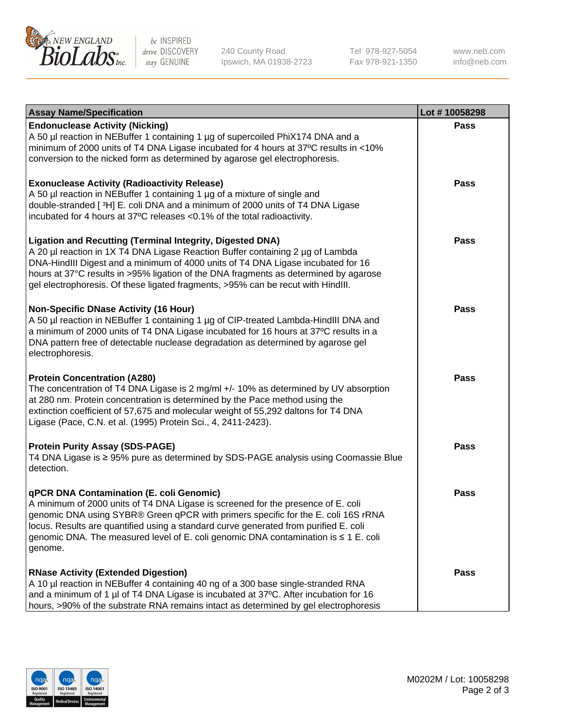

be INSPIRED drive DISCOVERY stay GENUINE

240 County Road Ipswich, MA 01938-2723 Tel 978-927-5054 Fax 978-921-1350 www.neb.com info@neb.com

| <b>Assay Name/Specification</b>                                                                                                                                                                                                                                                                                                                                                                                    | Lot #10058298 |
|--------------------------------------------------------------------------------------------------------------------------------------------------------------------------------------------------------------------------------------------------------------------------------------------------------------------------------------------------------------------------------------------------------------------|---------------|
| <b>Endonuclease Activity (Nicking)</b><br>A 50 µl reaction in NEBuffer 1 containing 1 µg of supercoiled PhiX174 DNA and a<br>minimum of 2000 units of T4 DNA Ligase incubated for 4 hours at 37°C results in <10%<br>conversion to the nicked form as determined by agarose gel electrophoresis.                                                                                                                   | <b>Pass</b>   |
| <b>Exonuclease Activity (Radioactivity Release)</b><br>A 50 µl reaction in NEBuffer 1 containing 1 µg of a mixture of single and<br>double-stranded [3H] E. coli DNA and a minimum of 2000 units of T4 DNA Ligase<br>incubated for 4 hours at 37°C releases <0.1% of the total radioactivity.                                                                                                                      | <b>Pass</b>   |
| <b>Ligation and Recutting (Terminal Integrity, Digested DNA)</b><br>A 20 µl reaction in 1X T4 DNA Ligase Reaction Buffer containing 2 µg of Lambda<br>DNA-HindIII Digest and a minimum of 4000 units of T4 DNA Ligase incubated for 16<br>hours at 37°C results in >95% ligation of the DNA fragments as determined by agarose<br>gel electrophoresis. Of these ligated fragments, >95% can be recut with HindIII. | <b>Pass</b>   |
| <b>Non-Specific DNase Activity (16 Hour)</b><br>A 50 µl reaction in NEBuffer 1 containing 1 µg of CIP-treated Lambda-HindIII DNA and<br>a minimum of 2000 units of T4 DNA Ligase incubated for 16 hours at 37°C results in a<br>DNA pattern free of detectable nuclease degradation as determined by agarose gel<br>electrophoresis.                                                                               | <b>Pass</b>   |
| <b>Protein Concentration (A280)</b><br>The concentration of T4 DNA Ligase is 2 mg/ml +/- 10% as determined by UV absorption<br>at 280 nm. Protein concentration is determined by the Pace method using the<br>extinction coefficient of 57,675 and molecular weight of 55,292 daltons for T4 DNA<br>Ligase (Pace, C.N. et al. (1995) Protein Sci., 4, 2411-2423).                                                  | <b>Pass</b>   |
| <b>Protein Purity Assay (SDS-PAGE)</b><br>T4 DNA Ligase is ≥ 95% pure as determined by SDS-PAGE analysis using Coomassie Blue<br>detection.                                                                                                                                                                                                                                                                        | <b>Pass</b>   |
| qPCR DNA Contamination (E. coli Genomic)<br>A minimum of 2000 units of T4 DNA Ligase is screened for the presence of E. coli<br>genomic DNA using SYBR® Green qPCR with primers specific for the E. coli 16S rRNA<br>locus. Results are quantified using a standard curve generated from purified E. coli<br>genomic DNA. The measured level of E. coli genomic DNA contamination is ≤ 1 E. coli<br>genome.        | Pass          |
| <b>RNase Activity (Extended Digestion)</b><br>A 10 µl reaction in NEBuffer 4 containing 40 ng of a 300 base single-stranded RNA<br>and a minimum of 1 µl of T4 DNA Ligase is incubated at 37°C. After incubation for 16<br>hours, >90% of the substrate RNA remains intact as determined by gel electrophoresis                                                                                                    | <b>Pass</b>   |